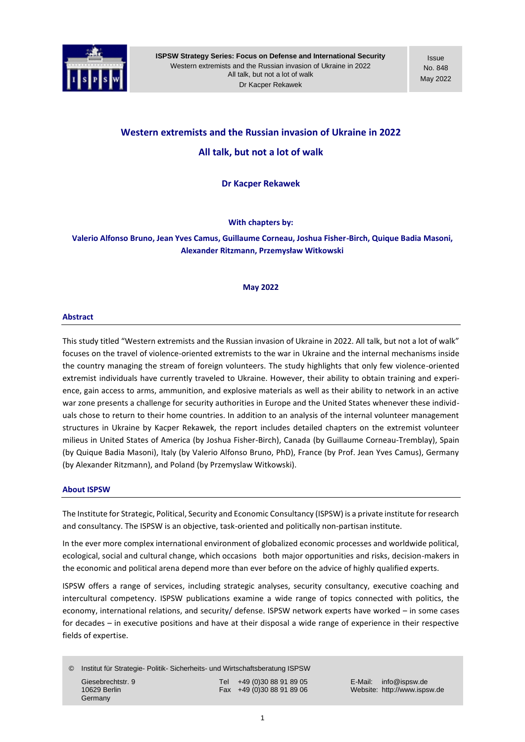

Issue No. 848 May 2022

# **Western extremists and the Russian invasion of Ukraine in 2022 All talk, but not a lot of walk**

**Dr Kacper Rekawek**

**With chapters by:**

**Valerio Alfonso Bruno, Jean Yves Camus, Guillaume Corneau, Joshua Fisher-Birch, Quique Badia Masoni, Alexander Ritzmann, Przemysław Witkowski**

### **May 2022**

### **Abstract**

This study titled "Western extremists and the Russian invasion of Ukraine in 2022. All talk, but not a lot of walk" focuses on the travel of violence-oriented extremists to the war in Ukraine and the internal mechanisms inside the country managing the stream of foreign volunteers. The study highlights that only few violence-oriented extremist individuals have currently traveled to Ukraine. However, their ability to obtain training and experience, gain access to arms, ammunition, and explosive materials as well as their ability to network in an active war zone presents a challenge for security authorities in Europe and the United States whenever these individuals chose to return to their home countries. In addition to an analysis of the internal volunteer management structures in Ukraine by Kacper Rekawek, the report includes detailed chapters on the extremist volunteer milieus in United States of America (by Joshua Fisher-Birch), Canada (by Guillaume Corneau-Tremblay), Spain (by Quique Badia Masoni), Italy (by Valerio Alfonso Bruno, PhD), France (by Prof. Jean Yves Camus), Germany (by Alexander Ritzmann), and Poland (by Przemyslaw Witkowski).

### **About ISPSW**

The Institute for Strategic, Political, Security and Economic Consultancy (ISPSW) is a private institute for research and consultancy. The ISPSW is an objective, task-oriented and politically non-partisan institute.

In the ever more complex international environment of globalized economic processes and worldwide political, ecological, social and cultural change, which occasions both major opportunities and risks, decision-makers in the economic and political arena depend more than ever before on the advice of highly qualified experts.

ISPSW offers a range of services, including strategic analyses, security consultancy, executive coaching and intercultural competency. ISPSW publications examine a wide range of topics connected with politics, the economy, international relations, and security/ defense. ISPSW network experts have worked – in some cases for decades – in executive positions and have at their disposal a wide range of experience in their respective fields of expertise.

© Institut für Strategie- Politik- Sicherheits- und Wirtschaftsberatung ISPSW Giesebrechtstr. 9 Tel +49 (0)30 88 91 89 05 E-Mail: info@ispsw.de

Germany

10629 Berlin Fax +49 (0)30 88 91 89 06 Website: http://www.ispsw.de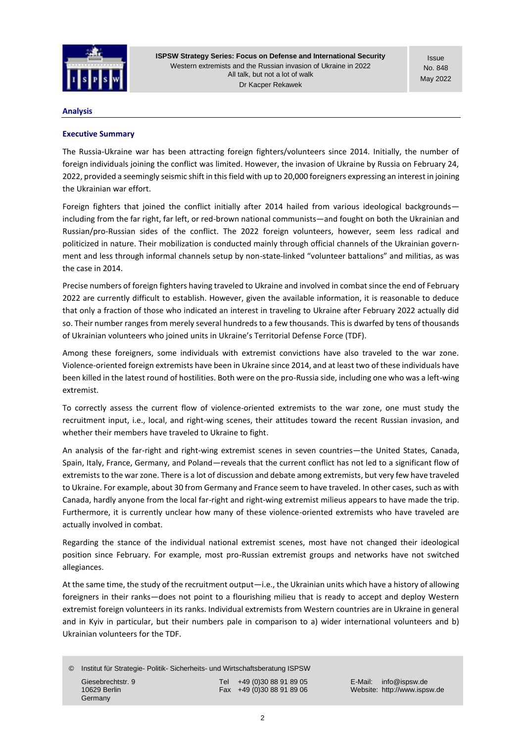

Issue No. 848 May 2022

### **Analysis**

# **Executive Summary**

The Russia-Ukraine war has been attracting foreign fighters/volunteers since 2014. Initially, the number of foreign individuals joining the conflict was limited. However, the invasion of Ukraine by Russia on February 24, 2022, provided a seemingly seismic shift in this field with up to 20,000 foreigners expressing an interest in joining the Ukrainian war effort.

Foreign fighters that joined the conflict initially after 2014 hailed from various ideological backgrounds including from the far right, far left, or red-brown national communists—and fought on both the Ukrainian and Russian/pro-Russian sides of the conflict. The 2022 foreign volunteers, however, seem less radical and politicized in nature. Their mobilization is conducted mainly through official channels of the Ukrainian government and less through informal channels setup by non-state-linked "volunteer battalions" and militias, as was the case in 2014.

Precise numbers of foreign fighters having traveled to Ukraine and involved in combat since the end of February 2022 are currently difficult to establish. However, given the available information, it is reasonable to deduce that only a fraction of those who indicated an interest in traveling to Ukraine after February 2022 actually did so. Their number ranges from merely several hundreds to a few thousands. This is dwarfed by tens of thousands of Ukrainian volunteers who joined units in Ukraine's Territorial Defense Force (TDF).

Among these foreigners, some individuals with extremist convictions have also traveled to the war zone. Violence-oriented foreign extremists have been in Ukraine since 2014, and at least two of these individuals have been killed in the latest round of hostilities. Both were on the pro-Russia side, including one who was a left-wing extremist.

To correctly assess the current flow of violence-oriented extremists to the war zone, one must study the recruitment input, i.e., local, and right-wing scenes, their attitudes toward the recent Russian invasion, and whether their members have traveled to Ukraine to fight.

An analysis of the far-right and right-wing extremist scenes in seven countries—the United States, Canada, Spain, Italy, France, Germany, and Poland—reveals that the current conflict has not led to a significant flow of extremists to the war zone. There is a lot of discussion and debate among extremists, but very few have traveled to Ukraine. For example, about 30 from Germany and France seem to have traveled. In other cases, such as with Canada, hardly anyone from the local far-right and right-wing extremist milieus appears to have made the trip. Furthermore, it is currently unclear how many of these violence-oriented extremists who have traveled are actually involved in combat.

Regarding the stance of the individual national extremist scenes, most have not changed their ideological position since February. For example, most pro-Russian extremist groups and networks have not switched allegiances.

At the same time, the study of the recruitment output—i.e., the Ukrainian units which have a history of allowing foreigners in their ranks—does not point to a flourishing milieu that is ready to accept and deploy Western extremist foreign volunteers in its ranks. Individual extremists from Western countries are in Ukraine in general and in Kyiv in particular, but their numbers pale in comparison to a) wider international volunteers and b) Ukrainian volunteers for the TDF.

© Institut für Strategie- Politik- Sicherheits- und Wirtschaftsberatung ISPSW

Germany

Giesebrechtstr. 9 Tel +49 (0)30 88 91 89 05 E-Mail: info@ispsw.de<br>10629 Berlin 10629 Berlin (1990) Fax +49 (0)30 88 91 89 06 Website: http://www.isps

10629 Berlin Fax +49 (0)30 88 91 89 06 Website: http://www.ispsw.de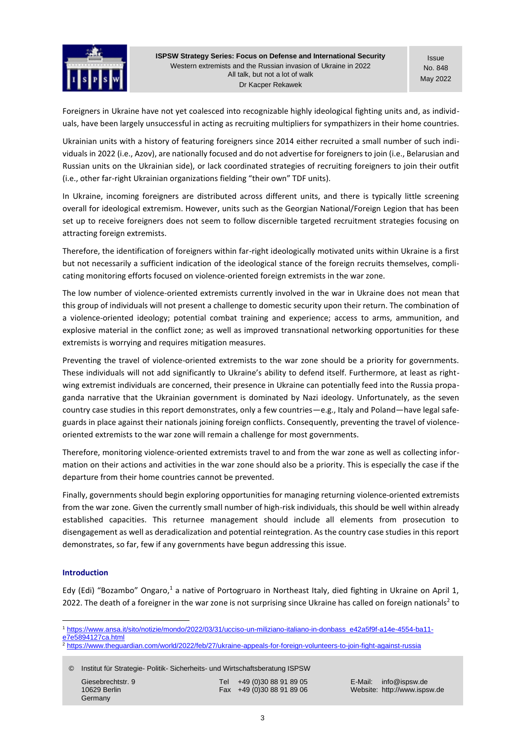

Issue No. 848 May 2022

Foreigners in Ukraine have not yet coalesced into recognizable highly ideological fighting units and, as individuals, have been largely unsuccessful in acting as recruiting multipliers for sympathizers in their home countries.

Ukrainian units with a history of featuring foreigners since 2014 either recruited a small number of such individuals in 2022 (i.e., Azov), are nationally focused and do not advertise for foreigners to join (i.e., Belarusian and Russian units on the Ukrainian side), or lack coordinated strategies of recruiting foreigners to join their outfit (i.e., other far-right Ukrainian organizations fielding "their own" TDF units).

In Ukraine, incoming foreigners are distributed across different units, and there is typically little screening overall for ideological extremism. However, units such as the Georgian National/Foreign Legion that has been set up to receive foreigners does not seem to follow discernible targeted recruitment strategies focusing on attracting foreign extremists.

Therefore, the identification of foreigners within far-right ideologically motivated units within Ukraine is a first but not necessarily a sufficient indication of the ideological stance of the foreign recruits themselves, complicating monitoring efforts focused on violence-oriented foreign extremists in the war zone.

The low number of violence-oriented extremists currently involved in the war in Ukraine does not mean that this group of individuals will not present a challenge to domestic security upon their return. The combination of a violence-oriented ideology; potential combat training and experience; access to arms, ammunition, and explosive material in the conflict zone; as well as improved transnational networking opportunities for these extremists is worrying and requires mitigation measures.

Preventing the travel of violence-oriented extremists to the war zone should be a priority for governments. These individuals will not add significantly to Ukraine's ability to defend itself. Furthermore, at least as rightwing extremist individuals are concerned, their presence in Ukraine can potentially feed into the Russia propaganda narrative that the Ukrainian government is dominated by Nazi ideology. Unfortunately, as the seven country case studies in this report demonstrates, only a few countries—e.g., Italy and Poland—have legal safeguards in place against their nationals joining foreign conflicts. Consequently, preventing the travel of violenceoriented extremists to the war zone will remain a challenge for most governments.

Therefore, monitoring violence-oriented extremists travel to and from the war zone as well as collecting information on their actions and activities in the war zone should also be a priority. This is especially the case if the departure from their home countries cannot be prevented.

Finally, governments should begin exploring opportunities for managing returning violence-oriented extremists from the war zone. Given the currently small number of high-risk individuals, this should be well within already established capacities. This returnee management should include all elements from prosecution to disengagement as well as deradicalization and potential reintegration. As the country case studies in this report demonstrates, so far, few if any governments have begun addressing this issue.

### **Introduction**

[Edy \(Edi\) "Bozambo" Ongaro](https://www.ansa.it/sito/notizie/mondo/2022/03/31/ucciso-un-miliziano-italiano-in-donbass_e42a5f9f-a14e-4554-ba11-e7e5894127ca.html),<sup>1</sup> a native of Portogruaro in Northeast Italy, died fighting in Ukraine on April 1, 2022. The death of a foreigner in the war zone is not surprising since Ukraine has called o[n foreign nationals](https://www.theguardian.com/world/2022/feb/27/ukraine-appeals-for-foreign-volunteers-to-join-fight-against-russia)<sup>2</sup> to

<sup>1</sup> [https://www.ansa.it/sito/notizie/mondo/2022/03/31/ucciso-un-miliziano-italiano-in-donbass\\_e42a5f9f-a14e-4554-ba11](https://www.ansa.it/sito/notizie/mondo/2022/03/31/ucciso-un-miliziano-italiano-in-donbass_e42a5f9f-a14e-4554-ba11-e7e5894127ca.html) [e7e5894127ca.html](https://www.ansa.it/sito/notizie/mondo/2022/03/31/ucciso-un-miliziano-italiano-in-donbass_e42a5f9f-a14e-4554-ba11-e7e5894127ca.html)

<sup>2</sup> <https://www.theguardian.com/world/2022/feb/27/ukraine-appeals-for-foreign-volunteers-to-join-fight-against-russia>

© Institut für Strategie- Politik- Sicherheits- und Wirtschaftsberatung ISPSW

Giesebrechtstr. 9 Tel +49 (0)30 88 91 89 05 E-Mail: info@ispsw.de<br>10629 Berlin 10629 Berlin (1990) Fax +49 (0)30 88 91 89 06 Website: http://www.isps

Germany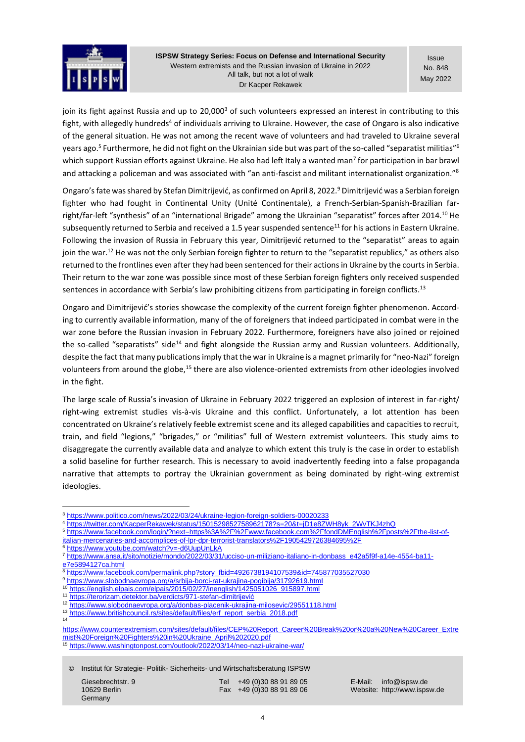

Issue No. 848 May 2022

join its fight against Russia and up to [20,000](https://www.politico.com/news/2022/03/24/ukraine-legion-foreign-soldiers-00020233)<sup>3</sup> of such volunteers expressed an interest in contributing to this fight, with allegedly [hundreds](https://twitter.com/KacperRekawek/status/1501529852758962178?s=20&t=jD1e8ZWH8yk_2WvTKJ4zhQ)<sup>4</sup> of individuals arriving to Ukraine. However, the case of Ongaro is also indicative of the general situation. He was not among the recent wave of volunteers and had traveled to Ukraine [several](https://www.facebook.com/fondDMEnglish/posts/the-list-of-italian-mercenaries-and-accomplices-of-lpr-dpr-terrorist-translators/1905429726384695/)  [years ago.](https://www.facebook.com/fondDMEnglish/posts/the-list-of-italian-mercenaries-and-accomplices-of-lpr-dpr-terrorist-translators/1905429726384695/)<sup>5</sup> Furthermore, he did not fight on the Ukrainian side but was part of the so-called "[separatist militias](https://www.youtube.com/watch?v=-d6UupUnLkA)"<sup>6</sup> which support Russian efforts against Ukraine. He also had left Italy [a wanted man](https://www.ansa.it/sito/notizie/mondo/2022/03/31/ucciso-un-miliziano-italiano-in-donbass_e42a5f9f-a14e-4554-ba11-e7e5894127ca.html)<sup>7</sup> for participation in bar brawl and attacking a policeman and was [associated](https://www.facebook.com/permalink.php?story_fbid=4926738194107539&id=745877035527030) with "an anti-fascist and militant internationalist organization."<sup>8</sup>

Ongaro's fate was shared by Stefan Dimitrijević, as [confirmed](https://www.slobodnaevropa.org/a/srbija-borci-rat-ukrajina-pogibija/31792619.html) on April 8, 2022.<sup>9</sup> Dimitrijević was a Serbian foreign fighter who had fought in Continental Unity [\(Unité Continentale\)](https://www.facebook.com/continentalunity/), a French-Serbian-Spanish-Brazilian farright/far-left "[synthesis](https://english.elpais.com/elpais/2015/02/27/inenglish/1425051026_915897.html)" of an "international Brigade" among the Ukrainian "separatist" forces after 2014.<sup>10</sup> He subsequently returned to Serbia and received [a 1.5 year suspended](https://terorizam.detektor.ba/verdicts/971-stefan-dimitrijevi%C4%87) sentence<sup>11</sup> for his actions in Eastern Ukraine. Following the invasion of Russia in February this year, Dimitrijević returned to the "separatist" areas to again join the war.<sup>12</sup> He was not the only Serbian foreign fighter to return to the "separatist republics," as others also [returned](https://www.slobodnaevropa.org/a/donbas-placenik-ukrajina-milosevic/29551118.html) to the frontlines even after they had been sentenced for their actions in Ukraine by the courts in Serbia. Their return to the war zone was [possible](https://www.britishcouncil.rs/sites/default/files/erf_report_serbia_2018.pdf) since most of these Serbian foreign fighters only received suspended sentences in accordance with Serbia's law prohibiting citizens from participating in foreign conflicts.<sup>13</sup>

Ongaro and Dimitrijević's stories showcase the complexity of the current foreign fighter phenomenon. According to currently available information, many of the of foreigners that indeed participated in combat were in the war zone before the Russian invasion in February 2022. Furthermore, foreigners have also joined or rejoined the so-called "[separatists](https://www.counterextremism.com/sites/default/files/CEP%20Report_Career%20Break%20or%20a%20New%20Career_Extremist%20Foreign%20Fighters%20in%20Ukraine_April%202020.pdf)" side<sup>14</sup> and fight alongside the Russian army and Russian volunteers. Additionally, despite the fact that many publications imply that the war in Ukraine is a magnet primarily for "[neo-Nazi](https://www.washingtonpost.com/outlook/2022/03/14/neo-nazi-ukraine-war/)" foreign volunteers from around the globe,<sup>15</sup> there are also violence-oriented extremists from other ideologies involved in the fight.

The large scale of Russia's invasion of Ukraine in February 2022 triggered an explosion of interest in far-right/ right-wing extremist studies vis-à-vis Ukraine and this conflict. Unfortunately, a lot attention has been concentrated on Ukraine's relatively feeble extremist scene and its alleged capabilities and capacities to recruit, train, and field "legions," "brigades," or "militias" full of Western extremist volunteers. This study aims to disaggregate the currently available data and analyze to which extent this truly is the case in order to establish a solid baseline for further research. This is necessary to avoid inadvertently feeding into a false propaganda narrative that attempts to portray the Ukrainian government as being dominated by right-wing extremist ideologies.

14

<sup>13</sup> [https://www.britishcouncil.rs/sites/default/files/erf\\_report\\_serbia\\_2018.pdf](https://www.britishcouncil.rs/sites/default/files/erf_report_serbia_2018.pdf)

© Institut für Strategie- Politik- Sicherheits- und Wirtschaftsberatung ISPSW

**Germany** 

Giesebrechtstr. 9 Tel +49 (0)30 88 91 89 05 E-Mail: info@ispsw.de<br>10629 Berlin 10629 Berlin (1990) Fax +49 (0)30 88 91 89 06 Website: http://www.isps

Website: http://www.ispsw.de

<sup>3</sup> <https://www.politico.com/news/2022/03/24/ukraine-legion-foreign-soldiers-00020233>

<sup>4</sup> [https://twitter.com/KacperRekawek/status/1501529852758962178?s=20&t=jD1e8ZWH8yk\\_2WvTKJ4zhQ](https://twitter.com/KacperRekawek/status/1501529852758962178?s=20&t=jD1e8ZWH8yk_2WvTKJ4zhQ)

<sup>5</sup> [https://www.facebook.com/login/?next=https%3A%2F%2Fwww.facebook.com%2FfondDMEnglish%2Fposts%2Fthe-list-of](https://www.facebook.com/login/?next=https%3A%2F%2Fwww.facebook.com%2FfondDMEnglish%2Fposts%2Fthe-list-of-italian-mercenaries-and-accomplices-of-lpr-dpr-terrorist-translators%2F1905429726384695%2F)[italian-mercenaries-and-accomplices-of-lpr-dpr-terrorist-translators%2F1905429726384695%2F](https://www.facebook.com/login/?next=https%3A%2F%2Fwww.facebook.com%2FfondDMEnglish%2Fposts%2Fthe-list-of-italian-mercenaries-and-accomplices-of-lpr-dpr-terrorist-translators%2F1905429726384695%2F)

<sup>6</sup> <https://www.youtube.com/watch?v=-d6UupUnLkA>

<sup>7</sup> [https://www.ansa.it/sito/notizie/mondo/2022/03/31/ucciso-un-miliziano-italiano-in-donbass\\_e42a5f9f-a14e-4554-ba11-](https://www.ansa.it/sito/notizie/mondo/2022/03/31/ucciso-un-miliziano-italiano-in-donbass_e42a5f9f-a14e-4554-ba11-e7e5894127ca.html)

[e7e5894127ca.html](https://www.ansa.it/sito/notizie/mondo/2022/03/31/ucciso-un-miliziano-italiano-in-donbass_e42a5f9f-a14e-4554-ba11-e7e5894127ca.html)

<sup>8</sup> [https://www.facebook.com/permalink.php?story\\_fbid=4926738194107539&id=745877035527030](https://www.facebook.com/permalink.php?story_fbid=4926738194107539&id=745877035527030)

<sup>9</sup> <https://www.slobodnaevropa.org/a/srbija-borci-rat-ukrajina-pogibija/31792619.html><br>10 https://www.slobodnaevropa.org/a/srbija-borci-rat-ukrajina-pogibija/31792619.html

[https://english.elpais.com/elpais/2015/02/27/inenglish/1425051026\\_915897.html](https://english.elpais.com/elpais/2015/02/27/inenglish/1425051026_915897.html)

<sup>11</sup> <https://terorizam.detektor.ba/verdicts/971-stefan-dimitrijević>

<sup>12</sup> <https://www.slobodnaevropa.org/a/donbas-placenik-ukrajina-milosevic/29551118.html>

[https://www.counterextremism.com/sites/default/files/CEP%20Report\\_Career%20Break%20or%20a%20New%20Career\\_Extre](https://www.counterextremism.com/sites/default/files/CEP%20Report_Career%20Break%20or%20a%20New%20Career_Extremist%20Foreign%20Fighters%20in%20Ukraine_April%202020.pdf) [mist%20Foreign%20Fighters%20in%20Ukraine\\_April%202020.pdf](https://www.counterextremism.com/sites/default/files/CEP%20Report_Career%20Break%20or%20a%20New%20Career_Extremist%20Foreign%20Fighters%20in%20Ukraine_April%202020.pdf)

<sup>15</sup> <https://www.washingtonpost.com/outlook/2022/03/14/neo-nazi-ukraine-war/>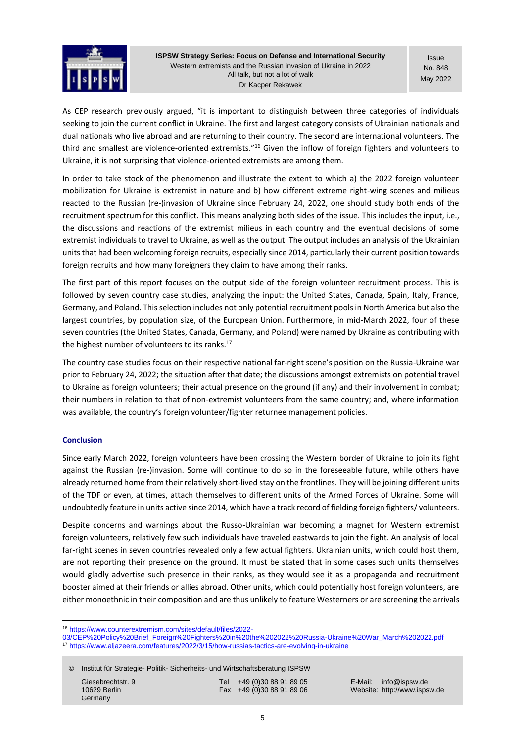

**Issue** No. 848 May 2022

As CEP research previously [argued](https://www.counterextremism.com/sites/default/files/2022-03/CEP%20Policy%20Brief_Foreign%20Fighters%20in%20the%202022%20Russia-Ukraine%20War_March%202022.pdf), "it is important to distinguish between three categories of individuals seeking to join the current conflict in Ukraine. The first and largest category consists of Ukrainian nationals and dual nationals who live abroad and are returning to their country. The second are international volunteers. The third and smallest are violence-oriented extremists."<sup>16</sup> Given the inflow of foreign fighters and volunteers to Ukraine, it is not surprising that violence-oriented extremists are among them.

In order to take stock of the phenomenon and illustrate the extent to which a) the 2022 foreign volunteer mobilization for Ukraine is extremist in nature and b) how different extreme right-wing scenes and milieus reacted to the Russian (re-)invasion of Ukraine since February 24, 2022, one should study both ends of the recruitment spectrum for this conflict. This means analyzing both sides of the issue. This includes the input, i.e., the discussions and reactions of the extremist milieus in each country and the eventual decisions of some extremist individuals to travel to Ukraine, as well as the output. The output includes an analysis of the Ukrainian units that had been welcoming foreign recruits, especially since 2014, particularly their current position towards foreign recruits and how many foreigners they claim to have among their ranks.

The first part of this report focuses on the output side of the foreign volunteer recruitment process. This is followed by seven country case studies, analyzing the input: the United States, Canada, Spain, Italy, France, Germany, and Poland. This selection includes not only potential recruitment pools in North America but also the largest countries, by population size, of the European Union. Furthermore, in mid-March 2022, four of these seven countries (the United States, Canada, Germany, and Poland) were named by Ukraine as contributing with th[e highest number](https://www.aljazeera.com/features/2022/3/15/how-russias-tactics-are-evolving-in-ukraine) of volunteers to its ranks.<sup>17</sup>

The country case studies focus on their respective national far-right scene's position on the Russia-Ukraine war prior to February 24, 2022; the situation after that date; the discussions amongst extremists on potential travel to Ukraine as foreign volunteers; their actual presence on the ground (if any) and their involvement in combat; their numbers in relation to that of non-extremist volunteers from the same country; and, where information was available, the country's foreign volunteer/fighter returnee management policies.

# **Conclusion**

Since early March 2022, foreign volunteers have been crossing the Western border of Ukraine to join its fight against the Russian (re-)invasion. Some will continue to do so in the foreseeable future, while others have already returned home from their relatively short-lived stay on the frontlines. They will be joining different units of the TDF or even, at times, attach themselves to different units of the Armed Forces of Ukraine. Some will undoubtedly feature in units active since 2014, which have a track record of fielding foreign fighters/ volunteers.

Despite concerns and warnings about the Russo-Ukrainian war becoming a magnet for Western extremist foreign volunteers, relatively few such individuals have traveled eastwards to join the fight. An analysis of local far-right scenes in seven countries revealed only a few actual fighters. Ukrainian units, which could host them, are not reporting their presence on the ground. It must be stated that in some cases such units themselves would gladly advertise such presence in their ranks, as they would see it as a propaganda and recruitment booster aimed at their friends or allies abroad. Other units, which could potentially host foreign volunteers, are either monoethnic in their composition and are thus unlikely to feature Westerners or are screening the arrivals

© Institut für Strategie- Politik- Sicherheits- und Wirtschaftsberatung ISPSW

Germany

Giesebrechtstr. 9 Tel +49 (0)30 88 91 89 05 E-Mail: info@ispsw.de<br>10629 Berlin 10629 Berlin (1990) Fax +49 (0)30 88 91 89 06 Website: http://www.isps

<sup>16</sup> [https://www.counterextremism.com/sites/default/files/2022-](https://www.counterextremism.com/sites/default/files/2022-03/CEP%20Policy%20Brief_Foreign%20Fighters%20in%20the%202022%20Russia-Ukraine%20War_March%202022.pdf)

[<sup>03/</sup>CEP%20Policy%20Brief\\_Foreign%20Fighters%20in%20the%202022%20Russia-Ukraine%20War\\_March%202022.pdf](https://www.counterextremism.com/sites/default/files/2022-03/CEP%20Policy%20Brief_Foreign%20Fighters%20in%20the%202022%20Russia-Ukraine%20War_March%202022.pdf)<br>17 https://www.aliazoera.com/footuses/2020/2/45/k <sup>17</sup> <https://www.aljazeera.com/features/2022/3/15/how-russias-tactics-are-evolving-in-ukraine>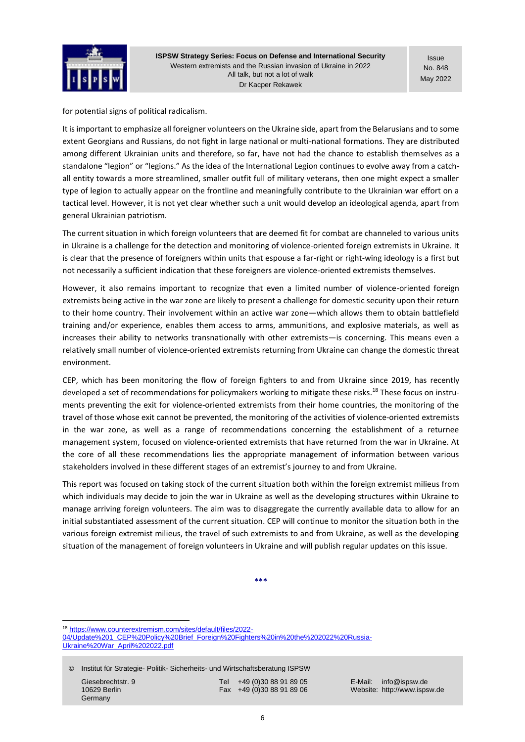

Issue No. 848 May 2022

for potential signs of political radicalism.

It is important to emphasize all foreigner volunteers on the Ukraine side, apart from the Belarusians and to some extent Georgians and Russians, do not fight in large national or multi-national formations. They are distributed among different Ukrainian units and therefore, so far, have not had the chance to establish themselves as a standalone "legion" or "legions." As the idea of the International Legion continues to evolve away from a catchall entity towards a more streamlined, smaller outfit full of military veterans, then one might expect a smaller type of legion to actually appear on the frontline and meaningfully contribute to the Ukrainian war effort on a tactical level. However, it is not yet clear whether such a unit would develop an ideological agenda, apart from general Ukrainian patriotism.

The current situation in which foreign volunteers that are deemed fit for combat are channeled to various units in Ukraine is a challenge for the detection and monitoring of violence-oriented foreign extremists in Ukraine. It is clear that the presence of foreigners within units that espouse a far-right or right-wing ideology is a first but not necessarily a sufficient indication that these foreigners are violence-oriented extremists themselves.

However, it also remains important to recognize that even a limited number of violence-oriented foreign extremists being active in the war zone are likely to present a challenge for domestic security upon their return to their home country. Their involvement within an active war zone—which allows them to obtain battlefield training and/or experience, enables them access to arms, ammunitions, and explosive materials, as well as increases their ability to networks transnationally with other extremists—is concerning. This means even a relatively small number of violence-oriented extremists returning from Ukraine can change the domestic threat environment.

CEP, which has been monitoring the flow of foreign fighters to and from Ukraine since 2019, has [recently](https://www.counterextremism.com/sites/default/files/2022-04/Update%201_CEP%20Policy%20Brief_Foreign%20Fighters%20in%20the%202022%20Russia-Ukraine%20War_April%202022.pdf)  [developed](https://www.counterextremism.com/sites/default/files/2022-04/Update%201_CEP%20Policy%20Brief_Foreign%20Fighters%20in%20the%202022%20Russia-Ukraine%20War_April%202022.pdf) a set of recommendations for policymakers working to mitigate these risks.<sup>18</sup> These focus on instruments preventing the exit for violence-oriented extremists from their home countries, the monitoring of the travel of those whose exit cannot be prevented, the monitoring of the activities of violence-oriented extremists in the war zone, as well as a range of recommendations concerning the establishment of a returnee management system, focused on violence-oriented extremists that have returned from the war in Ukraine. At the core of all these recommendations lies the appropriate management of information between various stakeholders involved in these different stages of an extremist's journey to and from Ukraine.

This report was focused on taking stock of the current situation both within the foreign extremist milieus from which individuals may decide to join the war in Ukraine as well as the developing structures within Ukraine to manage arriving foreign volunteers. The aim was to disaggregate the currently available data to allow for an initial substantiated assessment of the current situation. CEP will continue to monitor the situation both in the various foreign extremist milieus, the travel of such extremists to and from Ukraine, as well as the developing situation of the management of foreign volunteers in Ukraine and will publish regular updates on this issue.

**\*\*\***

<sup>18</sup> [https://www.counterextremism.com/sites/default/files/2022-](https://www.counterextremism.com/sites/default/files/2022-04/Update%201_CEP%20Policy%20Brief_Foreign%20Fighters%20in%20the%202022%20Russia-Ukraine%20War_April%202022.pdf) [04/Update%201\\_CEP%20Policy%20Brief\\_Foreign%20Fighters%20in%20the%202022%20Russia-](https://www.counterextremism.com/sites/default/files/2022-04/Update%201_CEP%20Policy%20Brief_Foreign%20Fighters%20in%20the%202022%20Russia-Ukraine%20War_April%202022.pdf)[Ukraine%20War\\_April%202022.pdf](https://www.counterextremism.com/sites/default/files/2022-04/Update%201_CEP%20Policy%20Brief_Foreign%20Fighters%20in%20the%202022%20Russia-Ukraine%20War_April%202022.pdf)

© Institut für Strategie- Politik- Sicherheits- und Wirtschaftsberatung ISPSW

Germany

Giesebrechtstr. 9 Tel +49 (0)30 88 91 89 05 E-Mail: info@ispsw.de<br>10629 Berlin 10629 Berlin (1990) Fax +49 (0)30 88 91 89 06 Website: http://www.isps

10629 Berlin Fax +49 (0)30 88 91 89 06 Website: http://www.ispsw.de